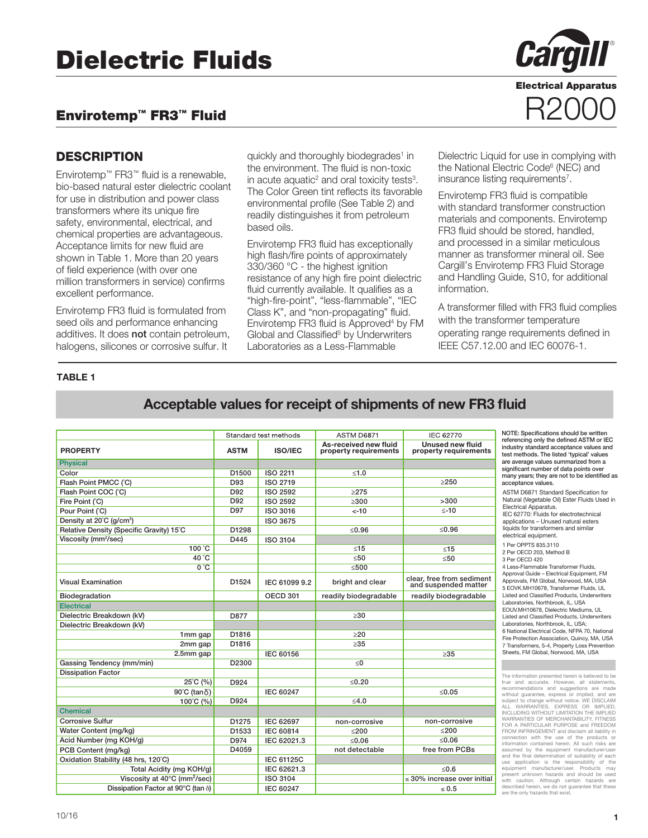# Envirotemp™ FR3™ Fluid

## **DESCRIPTION**

Envirotemp™ FR3™ fluid is a renewable, bio-based natural ester dielectric coolant for use in distribution and power class transformers where its unique fire safety, environmental, electrical, and chemical properties are advantageous. Acceptance limits for new fluid are shown in Table 1. More than 20 years of field experience (with over one million transformers in service) confirms excellent performance.

Envirotemp FR3 fluid is formulated from seed oils and performance enhancing additives. It does **not** contain petroleum, halogens, silicones or corrosive sulfur. It

quickly and thoroughly biodegrades<sup>1</sup> in the environment. The fluid is non-toxic in acute aquatic<sup>2</sup> and oral toxicity tests<sup>3</sup>. The Color Green tint reflects its favorable environmental profile (See Table 2) and readily distinguishes it from petroleum based oils.

Envirotemp FR3 fluid has exceptionally high flash/fire points of approximately 330/360 °C - the highest ignition resistance of any high fire point dielectric fluid currently available. It qualifies as a "high-fire-point", "less-flammable", "IEC Class K", and "non-propagating" fluid. Envirotemp FR3 fluid is Approved<sup>4</sup> by FM Global and Classified<sup>5</sup> by Underwriters Laboratories as a Less-Flammable



Electrical Apparatus

R2000

Dielectric Liquid for use in complying with the National Electric Code<sup>6</sup> (NEC) and insurance listing requirements<sup>7</sup>.

Envirotemp FR3 fluid is compatible with standard transformer construction materials and components. Envirotemp FR3 fluid should be stored, handled, and processed in a similar meticulous manner as transformer mineral oil. See Cargill's Envirotemp FR3 Fluid Storage and Handling Guide, S10, for additional information.

A transformer filled with FR3 fluid complies with the transformer temperature operating range requirements defined in IEEE C57.12.00 and IEC 60076-1.

#### TABLE 1

# Acceptable values for receipt of shipments of new FR3 fluid

|                                            |                   | Standard test methods | ASTM D6871                                     | <b>IEC 62770</b>                                  |
|--------------------------------------------|-------------------|-----------------------|------------------------------------------------|---------------------------------------------------|
| <b>PROPERTY</b>                            | <b>ASTM</b>       | <b>ISO/IEC</b>        | As-received new fluid<br>property requirements | Unused new fluid<br>property requirements         |
| <b>Physical</b>                            |                   |                       |                                                |                                                   |
| Color                                      | D1500             | <b>ISO 2211</b>       | < 1.0                                          |                                                   |
| Flash Point PMCC (°C)                      | D93               | ISO 2719              |                                                | $\geq$ 250                                        |
| Flash Point COC (°C)                       | D92               | <b>ISO 2592</b>       | $\geq$ 275                                     |                                                   |
| Fire Point (°C)                            | D92               | <b>ISO 2592</b>       | $\geq 300$                                     | >300                                              |
| Pour Point (°C)                            | D97               | <b>ISO 3016</b>       | $< -10$                                        | $\leq -10$                                        |
| Density at 20°C (g/cm <sup>3</sup> )       |                   | <b>ISO 3675</b>       |                                                |                                                   |
| Relative Density (Specific Gravity) 15°C   | D1298             |                       | < 0.96                                         | $≤0.96$                                           |
| Viscosity (mm <sup>2</sup> /sec)           | D445              | <b>ISO 3104</b>       |                                                |                                                   |
| 100 °C                                     |                   |                       | $\leq 15$                                      | $\leq 15$                                         |
| 40 °C                                      |                   |                       | <50                                            | <50                                               |
| $0^{\circ}$ C                              |                   |                       | < 500                                          |                                                   |
| <b>Visual Examination</b>                  | D1524             | IEC 61099 9.2         | bright and clear                               | clear, free from sediment<br>and suspended matter |
| Biodegradation                             |                   | <b>OECD 301</b>       | readily biodegradable                          | readily biodegradable                             |
| <b>Electrical</b>                          |                   |                       |                                                |                                                   |
| Dielectric Breakdown (kV)                  | D877              |                       | >30                                            |                                                   |
| Dielectric Breakdown (kV)                  |                   |                       |                                                |                                                   |
| 1 <sub>mm</sub> gap                        | D1816             |                       | >20                                            |                                                   |
| 2mm gap                                    | D1816             |                       | $\geq 35$                                      |                                                   |
| $2.5mm$ gap                                |                   | <b>IEC 60156</b>      |                                                | $\geq 35$                                         |
| Gassing Tendency (mm/min)                  | D <sub>2300</sub> |                       | < 0                                            |                                                   |
| <b>Dissipation Factor</b>                  |                   |                       |                                                |                                                   |
| 25°C (%)                                   | D924              |                       | < 0.20                                         |                                                   |
| 90°C (tan δ)                               |                   | IEC 60247             |                                                | < 0.05                                            |
| 100°C (%)                                  | D924              |                       | < 4.0                                          |                                                   |
| <b>Chemical</b>                            |                   |                       |                                                |                                                   |
| <b>Corrosive Sulfur</b>                    | D1275             | <b>IEC 62697</b>      | non-corrosive                                  | non-corrosive                                     |
| Water Content (mg/kg)                      | D1533             | <b>IEC 60814</b>      | < 200                                          | < 200                                             |
| Acid Number (mg KOH/g)                     | D974              | IEC 62021.3           | < 0.06                                         | < 0.06                                            |
| PCB Content (mg/kg)                        | D4059             |                       | not detectable                                 | free from PCBs                                    |
| Oxidation Stability (48 hrs, 120°C)        |                   | <b>IEC 61125C</b>     |                                                |                                                   |
| Total Acidity (mg KOH/g)                   |                   | IEC 62621.3           |                                                | < 0.6                                             |
| Viscosity at 40°C (mm <sup>2</sup> /sec)   |                   | <b>ISO 3104</b>       |                                                | $\leq$ 30% increase over initial                  |
| Dissipation Factor at 90°C (tan $\delta$ ) |                   | IEC 60247             |                                                | $\leq 0.5$                                        |

TE: Specifications should be written referencing only the defined ASTM or IEC ustry standard acceptance values and test, methods. The listed 'typical' values average values summarized from a ificant number of data points over ny years; they are not to be identified as eptance values.

**TM D6871 Standard Specification for** tural (Vegetable Oil) Ester Fluids Used in ctrical Apparatus. 62770: Fluids for electrotechnical olications – Unused natural esters uids for transformers and similar ctrical equipment.

er OPPTS 835.3110 er OECD 203, Method B er OECD 420

ess-Flammable Transformer Fluids, **Proval Guide – Electrical Equipment, FM** ervals, FM Global, Norwood, MA, USA 5 EOVK.MH10678, Transformer Fluids, UL Listed and Classied Products, Underwriters oratories, Northbrook, IL, USA EOUV.MH10678, Dielectric Mediums, UL ed and Classified Products, Underwriters oratories, Northbrook, IL, USA; ational Electrical Code, NFPA 70, National Protection Association, Quincy, MA, USA ansformers, 5-4, Property Loss Prevention ets, FM Global, Norwood, MA, USA

information presented herein is believed to be and accurate. However, all statements recommendations and suggestions are made without guarantee, express or implied, and are subject to change without notice. WE DISCLAIM<br>ALL WARRANTIES, EXPRESS OR IMPLIED,<br>INCLUDING WITHOUT LIMITATION THE IMPLIED<br>WARRANTIES OF MERCHANTABILITY, FITNESS A PARTICULAR PURPOSE and FREEDOM FROM INFRINGEMENT and disclaim all liability in connection with the use of the products or information contained herein. All such risks are assumed by the equipment manufacturer/user and the final determination of suitability of each<br>use application is the responsibility of the<br>equipment manufacturer/user. Products may<br>present unknown hazards and should be used with caution. Although certain hazards are described herein, we do not guarantee that these are the only hazards that exist.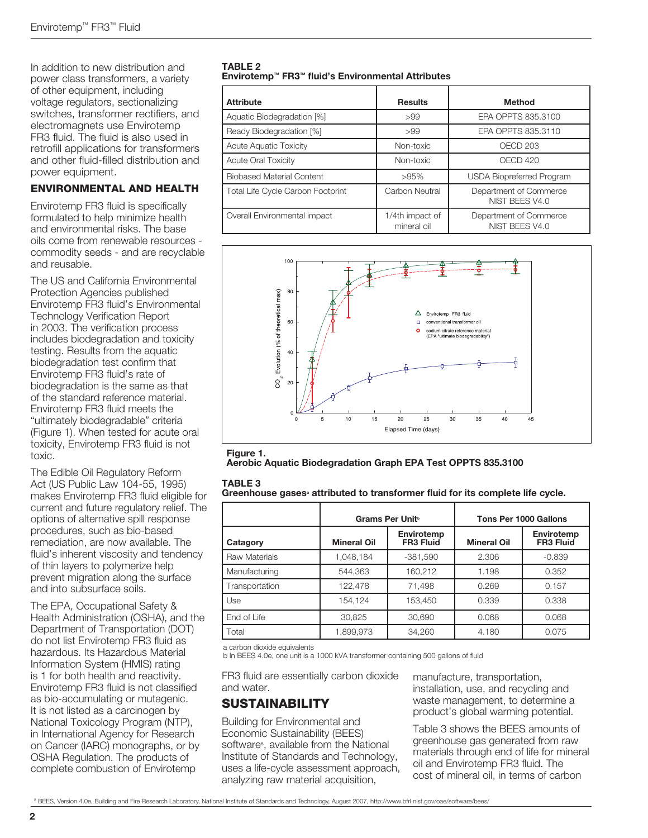In addition to new distribution and power class transformers, a variety of other equipment, including voltage regulators, sectionalizing switches, transformer rectifiers, and electromagnets use Envirotemp FR3 fluid. The fluid is also used in retrofill applications for transformers and other fluid-filled distribution and power equipment.

### ENVIRONMENTAL AND HEALTH

Envirotemp FR3 fluid is specifically formulated to help minimize health and environmental risks. The base oils come from renewable resources commodity seeds - and are recyclable and reusable.

The US and California Environmental Protection Agencies published Envirotemp FR3 fluid's Environmental Technology Verification Report in 2003. The verification process includes biodegradation and toxicity testing. Results from the aquatic biodegradation test confirm that Envirotemp FR3 fluid's rate of biodegradation is the same as that of the standard reference material. Envirotemp FR3 fluid meets the "ultimately biodegradable" criteria (Figure 1). When tested for acute oral toxicity, Envirotemp FR3 fluid is not toxic.

The Edible Oil Regulatory Reform Act (US Public Law 104-55, 1995) makes Envirotemp FR3 fluid eligible for current and future regulatory relief. The options of alternative spill response procedures, such as bio-based remediation, are now available. The fluid's inherent viscosity and tendency of thin layers to polymerize help prevent migration along the surface and into subsurface soils.

The EPA, Occupational Safety & Health Administration (OSHA), and the Department of Transportation (DOT) do not list Envirotemp FR3 fluid as hazardous. Its Hazardous Material Information System (HMIS) rating is 1 for both health and reactivity. Envirotemp FR3 fluid is not classified as bio-accumulating or mutagenic. It is not listed as a carcinogen by National Toxicology Program (NTP), in International Agency for Research on Cancer (IARC) monographs, or by OSHA Regulation. The products of complete combustion of Envirotemp

#### TABLE 2 Envirotemp™ FR3™ fluid's Environmental Attributes

| <b>Attribute</b>                  | <b>Results</b>                 | <b>Method</b>                            |
|-----------------------------------|--------------------------------|------------------------------------------|
| Aquatic Biodegradation [%]        | >99                            | EPA OPPTS 835,3100                       |
| Ready Biodegradation [%]          | >99                            | EPA OPPTS 835.3110                       |
| <b>Acute Aquatic Toxicity</b>     | Non-toxic                      | OECD <sub>203</sub>                      |
| <b>Acute Oral Toxicity</b>        | Non-toxic                      | OECD 420                                 |
| <b>Biobased Material Content</b>  | >95%                           | <b>USDA Biopreferred Program</b>         |
| Total Life Cycle Carbon Footprint | Carbon Neutral                 | Department of Commerce<br>NIST BEES V4.0 |
| Overall Environmental impact      | 1/4th impact of<br>mineral oil | Department of Commerce<br>NIST BEES V4.0 |



Aerobic Aquatic Biodegradation Graph EPA Test OPPTS 835.3100

#### TABLE 3

| Greenhouse gases <sup>®</sup> attributed to transformer fluid for its complete life cycle. |  |  |  |
|--------------------------------------------------------------------------------------------|--|--|--|
|--------------------------------------------------------------------------------------------|--|--|--|

|                      |                    | Grams Per Unit                 | Tons Per 1000 Gallons |                                |  |
|----------------------|--------------------|--------------------------------|-----------------------|--------------------------------|--|
| Catagory             | <b>Mineral Oil</b> | Envirotemp<br><b>FR3 Fluid</b> | <b>Mineral Oil</b>    | Envirotemp<br><b>FR3 Fluid</b> |  |
| <b>Raw Materials</b> | 1,048,184          | $-381,590$                     | 2.306                 | $-0.839$                       |  |
| Manufacturing        | 544.363            | 160,212                        | 1.198                 | 0.352                          |  |
| Transportation       | 122.478            | 71.498                         | 0.269                 | 0.157                          |  |
| Use                  | 154.124            | 153.450                        | 0.339                 | 0.338                          |  |
| End of Life          | 30.825             | 30.690                         | 0.068                 | 0.068                          |  |
| Total                | 1,899,973          | 34.260                         | 4.180                 | 0.075                          |  |

a carbon dioxide equivalents

b In BEES 4.0e, one unit is a 1000 kVA transformer containing 500 gallons of fluid

FR3 fluid are essentially carbon dioxide and water.

# **SUSTAINABILITY**

Building for Environmental and Economic Sustainability (BEES) software<sup>8</sup>, available from the National Institute of Standards and Technology, uses a life-cycle assessment approach, analyzing raw material acquisition,

manufacture, transportation, installation, use, and recycling and waste management, to determine a product's global warming potential.

Table 3 shows the BEES amounts of greenhouse gas generated from raw materials through end of life for mineral oil and Envirotemp FR3 fluid. The cost of mineral oil, in terms of carbon

<sup>8</sup> BEES, Version 4.0e, Building and Fire Research Laboratory, National Institute of Standards and Technology, August 2007, http://www.bfrl.nist.gov/oae/software/bees/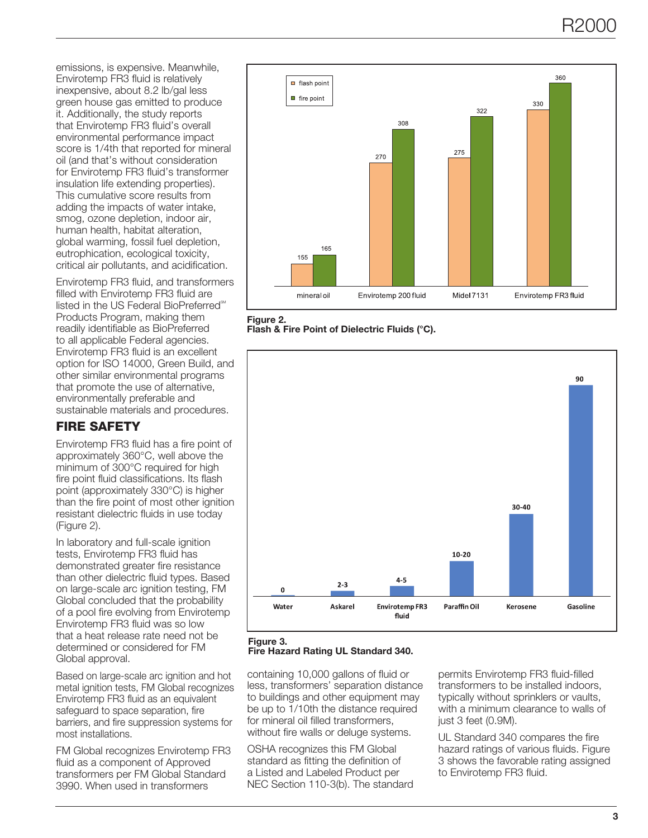emissions, is expensive. Meanwhile, Envirotemp FR3 fluid is relatively inexpensive, about 8.2 lb/gal less green house gas emitted to produce it. Additionally, the study reports that Envirotemp FR3 fluid's overall environmental performance impact score is 1/4th that reported for mineral oil (and that's without consideration for Envirotemp FR3 fluid's transformer insulation life extending properties). This cumulative score results from adding the impacts of water intake, smog, ozone depletion, indoor air, human health, habitat alteration, global warming, fossil fuel depletion, eutrophication, ecological toxicity, critical air pollutants, and acidification.

Envirotemp FR3 fluid, and transformers filled with Envirotemp FR3 fluid are listed in the US Federal BioPreferred<sup>®M</sup> Products Program, making them readily identifiable as BioPreferred to all applicable Federal agencies. Envirotemp FR3 fluid is an excellent option for ISO 14000, Green Build, and other similar environmental programs that promote the use of alternative, environmentally preferable and sustainable materials and procedures.

# FIRE SAFETY

Envirotemp FR3 fluid has a fire point of approximately 360°C, well above the minimum of 300°C required for high fire point fluid classifications. Its flash point (approximately 330°C) is higher than the fire point of most other ignition resistant dielectric fluids in use today (Figure 2).

In laboratory and full-scale ignition tests, Envirotemp FR3 fluid has demonstrated greater fire resistance than other dielectric fluid types. Based on large-scale arc ignition testing, FM Global concluded that the probability of a pool fire evolving from Envirotemp Envirotemp FR3 fluid was so low that a heat release rate need not be determined or considered for FM Global approval.

Based on large-scale arc ignition and hot metal ignition tests, FM Global recognizes Envirotemp FR3 fluid as an equivalent safeguard to space separation, fire barriers, and fire suppression systems for most installations.

FM Global recognizes Envirotemp FR3 fluid as a component of Approved transformers per FM Global Standard 3990. When used in transformers







#### Figure 3.

Fire Hazard Rating UL Standard 340.

containing 10,000 gallons of fluid or less, transformers' separation distance to buildings and other equipment may be up to 1/10th the distance required for mineral oil filled transformers, without fire walls or deluge systems.

OSHA recognizes this FM Global standard as fitting the definition of a Listed and Labeled Product per NEC Section 110-3(b). The standard permits Envirotemp FR3 fluid-filled transformers to be installed indoors, typically without sprinklers or vaults, with a minimum clearance to walls of just 3 feet (0.9M).

UL Standard 340 compares the fire hazard ratings of various fluids. Figure 3 shows the favorable rating assigned to Envirotemp FR3 fluid.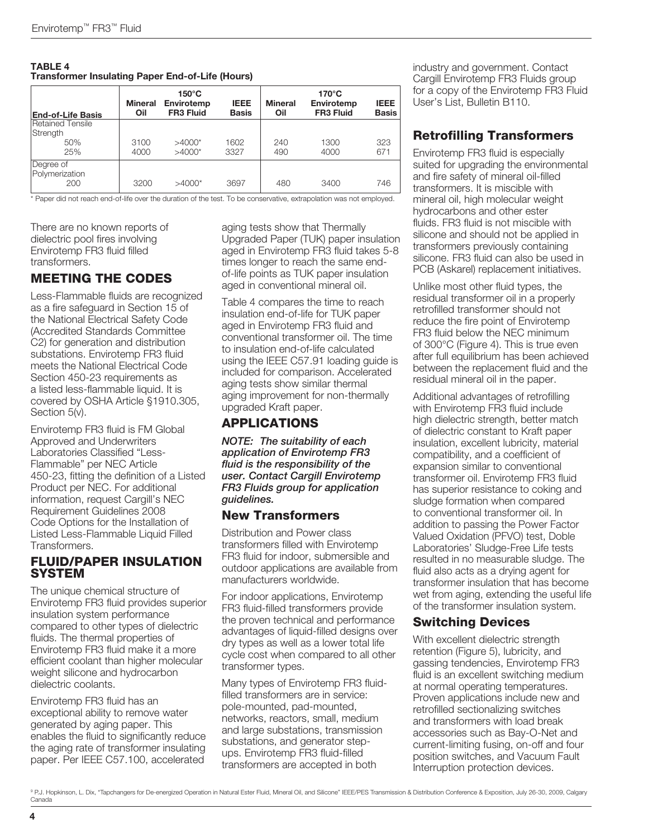| <b>TABLE 4</b><br><b>Transformer Insulating Paper End-of-Life (Hours)</b> |                       |                                                   |                             |                       |                                                   |                             |
|---------------------------------------------------------------------------|-----------------------|---------------------------------------------------|-----------------------------|-----------------------|---------------------------------------------------|-----------------------------|
| <b>End-of-Life Basis</b>                                                  | <b>Mineral</b><br>Oil | $150^{\circ}$ C<br>Envirotemp<br><b>FR3 Fluid</b> | <b>IEEE</b><br><b>Basis</b> | <b>Mineral</b><br>Oil | $170^{\circ}$ C<br>Envirotemp<br><b>FR3 Fluid</b> | <b>IEEE</b><br><b>Basis</b> |
| Retained Tensile<br>Strength<br>50%<br>25%                                | 3100<br>4000          | $>4000*$<br>$>4000*$                              | 1602<br>3327                | 240<br>490            | 1300<br>4000                                      | 323<br>671                  |
| Degree of<br>Polymerization<br>200                                        | 3200                  | $>4000*$                                          | 3697                        | 480                   | 3400                                              | 746                         |

\* Paper did not reach end-of-life over the duration of the test. To be conservative, extrapolation was not employed.

There are no known reports of dielectric pool fires involving Envirotemp FR3 fluid filled transformers.

# MEETING THE CODES

Less-Flammable fluids are recognized as a fire safeguard in Section 15 of the National Electrical Safety Code (Accredited Standards Committee C2) for generation and distribution substations. Envirotemp FR3 fluid meets the National Electrical Code Section 450-23 requirements as a listed less-flammable liquid. It is covered by OSHA Article §1910.305, Section 5(v).

Envirotemp FR3 fluid is FM Global Approved and Underwriters Laboratories Classified "Less-Flammable" per NEC Article 450-23, fitting the definition of a Listed Product per NEC. For additional information, request Cargill's NEC Requirement Guidelines 2008 Code Options for the Installation of Listed Less-Flammable Liquid Filled **Transformers** 

## FLUID/PAPER INSULATION **SYSTEM**

The unique chemical structure of Envirotemp FR3 fluid provides superior insulation system performance compared to other types of dielectric fluids. The thermal properties of Envirotemp FR3 fluid make it a more efficient coolant than higher molecular weight silicone and hydrocarbon dielectric coolants.

Envirotemp FR3 fluid has an exceptional ability to remove water generated by aging paper. This enables the fluid to significantly reduce the aging rate of transformer insulating paper. Per IEEE C57.100, accelerated

aging tests show that Thermally Upgraded Paper (TUK) paper insulation aged in Envirotemp FR3 fluid takes 5-8 times longer to reach the same endof-life points as TUK paper insulation aged in conventional mineral oil.

Table 4 compares the time to reach insulation end-of-life for TUK paper aged in Envirotemp FR3 fluid and conventional transformer oil. The time to insulation end-of-life calculated using the IEEE C57.91 loading guide is included for comparison. Accelerated aging tests show similar thermal aging improvement for non-thermally upgraded Kraft paper.

# APPLICATIONS

*NOTE: The suitability of each application of Envirotemp FR3 fluid is the responsibility of the user. Contact Cargill Envirotemp FR3 Fluids group for application guidelines.*

## New Transformers

Distribution and Power class transformers filled with Envirotemp FR3 fluid for indoor, submersible and outdoor applications are available from manufacturers worldwide.

For indoor applications, Envirotemp FR3 fluid-filled transformers provide the proven technical and performance advantages of liquid-filled designs over dry types as well as a lower total life cycle cost when compared to all other transformer types.

Many types of Envirotemp FR3 fluidfilled transformers are in service: pole-mounted, pad-mounted, networks, reactors, small, medium and large substations, transmission substations, and generator stepups. Envirotemp FR3 fluid-filled transformers are accepted in both

industry and government. Contact Cargill Envirotemp FR3 Fluids group for a copy of the Envirotemp FR3 Fluid User's List, Bulletin B110.

# Retrofilling Transformers

Envirotemp FR3 fluid is especially suited for upgrading the environmental and fire safety of mineral oil-filled transformers. It is miscible with mineral oil, high molecular weight hydrocarbons and other ester fluids. FR3 fluid is not miscible with silicone and should not be applied in transformers previously containing silicone. FR3 fluid can also be used in PCB (Askarel) replacement initiatives.

Unlike most other fluid types, the residual transformer oil in a properly retrofilled transformer should not reduce the fire point of Envirotemp FR3 fluid below the NEC minimum of 300°C (Figure 4). This is true even after full equilibrium has been achieved between the replacement fluid and the residual mineral oil in the paper.

Additional advantages of retrofilling with Envirotemp FR3 fluid include high dielectric strength, better match of dielectric constant to Kraft paper insulation, excellent lubricity, material compatibility, and a coefficient of expansion similar to conventional transformer oil. Envirotemp FR3 fluid has superior resistance to coking and sludge formation when compared to conventional transformer oil. In addition to passing the Power Factor Valued Oxidation (PFVO) test, Doble Laboratories' Sludge-Free Life tests resulted in no measurable sludge. The fluid also acts as a drying agent for transformer insulation that has become wet from aging, extending the useful life of the transformer insulation system.

# Switching Devices

With excellent dielectric strength retention (Figure 5), lubricity, and gassing tendencies, Envirotemp FR3 fluid is an excellent switching medium at normal operating temperatures. Proven applications include new and retrofilled sectionalizing switches and transformers with load break accessories such as Bay-O-Net and current-limiting fusing, on-off and four position switches, and Vacuum Fault Interruption protection devices.

<sup>9</sup> P.J. Hopkinson, L. Dix, "Tapchangers for De-energized Operation in Natural Ester Fluid, Mineral Oil, and Silicone" IEEE/PES Transmission & Distribution Conference & Exposition, July 26-30, 2009, Calgary Canada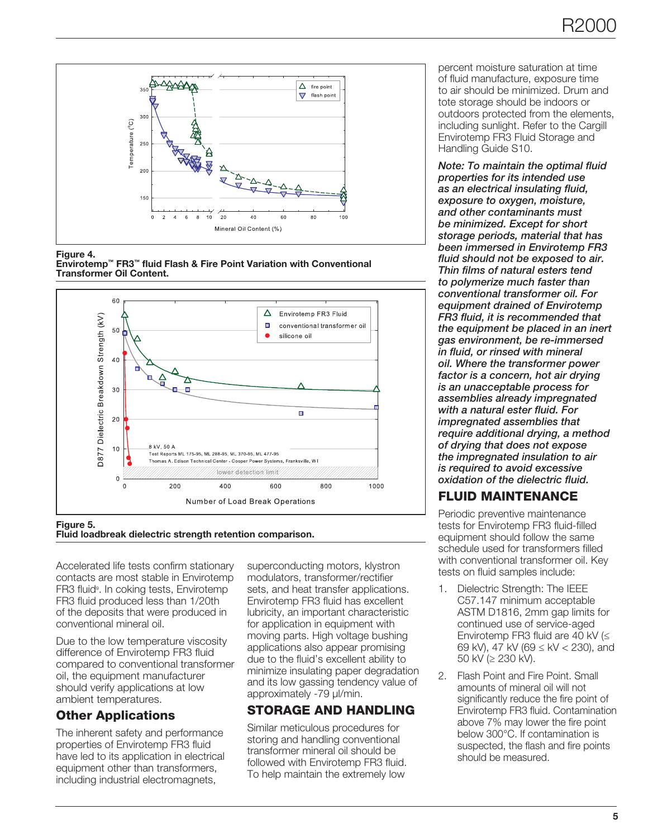

Figure 4.





### Figure 5.

Fluid loadbreak dielectric strength retention comparison.

Accelerated life tests confirm stationary contacts are most stable in Envirotemp FR3 fluid<sup>9</sup>. In coking tests, Envirotemp FR3 fluid produced less than 1/20th of the deposits that were produced in conventional mineral oil.

Due to the low temperature viscosity difference of Envirotemp FR3 fluid compared to conventional transformer oil, the equipment manufacturer should verify applications at low ambient temperatures.

# Other Applications

The inherent safety and performance properties of Envirotemp FR3 fluid have led to its application in electrical equipment other than transformers, including industrial electromagnets,

superconducting motors, klystron modulators, transformer/rectifier sets, and heat transfer applications. Envirotemp FR3 fluid has excellent lubricity, an important characteristic for application in equipment with moving parts. High voltage bushing applications also appear promising due to the fluid's excellent ability to minimize insulating paper degradation and its low gassing tendency value of approximately -79 µl/min.

# STORAGE AND HANDLING

Similar meticulous procedures for storing and handling conventional transformer mineral oil should be followed with Envirotemp FR3 fluid. To help maintain the extremely low

percent moisture saturation at time of fluid manufacture, exposure time to air should be minimized. Drum and tote storage should be indoors or outdoors protected from the elements, including sunlight. Refer to the Cargill Envirotemp FR3 Fluid Storage and Handling Guide S10.

*Note: To maintain the optimal fluid properties for its intended use as an electrical insulating fluid, exposure to oxygen, moisture, and other contaminants must be minimized. Except for short storage periods, material that has been immersed in Envirotemp FR3 fluid should not be exposed to air. Thin films of natural esters tend to polymerize much faster than conventional transformer oil. For equipment drained of Envirotemp FR3 fluid, it is recommended that the equipment be placed in an inert gas environment, be re-immersed in fluid, or rinsed with mineral oil. Where the transformer power factor is a concern, hot air drying is an unacceptable process for assemblies already impregnated with a natural ester fluid. For impregnated assemblies that require additional drying, a method of drying that does not expose the impregnated insulation to air is required to avoid excessive oxidation of the dielectric fluid.*

# FLUID MAINTENANCE

Periodic preventive maintenance tests for Envirotemp FR3 fluid-filled equipment should follow the same schedule used for transformers filled with conventional transformer oil. Key tests on fluid samples include:

- 1. Dielectric Strength: The IEEE C57.147 minimum acceptable ASTM D1816, 2mm gap limits for continued use of service-aged Envirotemp FR3 fluid are 40 kV (≤ 69 kV), 47 kV (69 ≤ kV < 230), and 50 kV (≥ 230 kV).
- 2. Flash Point and Fire Point. Small amounts of mineral oil will not significantly reduce the fire point of Envirotemp FR3 fluid. Contamination above 7% may lower the fire point below 300°C. If contamination is suspected, the flash and fire points should be measured.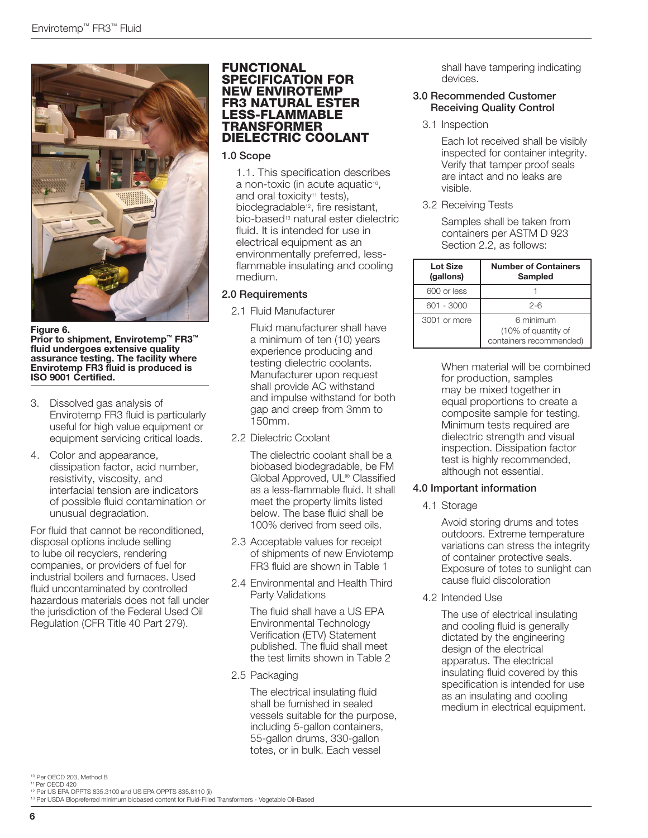

Figure 6. Prior to shipment, Envirotemp™ FR3™ fluid undergoes extensive quality assurance testing. The facility where Envirotemp FR3 fluid is produced is ISO 9001 Certified.

- 3. Dissolved gas analysis of Envirotemp FR3 fluid is particularly useful for high value equipment or equipment servicing critical loads.
- 4. Color and appearance, dissipation factor, acid number, resistivity, viscosity, and interfacial tension are indicators of possible fluid contamination or unusual degradation.

For fluid that cannot be reconditioned, disposal options include selling to lube oil recyclers, rendering companies, or providers of fuel for industrial boilers and furnaces. Used fluid uncontaminated by controlled hazardous materials does not fall under the jurisdiction of the Federal Used Oil Regulation (CFR Title 40 Part 279).

#### FUNCTIONAL SPECIFICATION FOR NEW ENVIROTEMP FR3 NATURAL ESTER LESS-FLAMMABLE TRANSFORMER DIELECTRIC COOLANT

### 1.0 Scope

1.1. This specification describes a non-toxic (in acute aquatic<sup>10</sup>, and oral toxicity<sup>11</sup> tests), biodegradable<sup>12</sup>, fire resistant, bio-based<sup>13</sup> natural ester dielectric fluid. It is intended for use in electrical equipment as an environmentally preferred, lessflammable insulating and cooling medium.

## 2.0 Requirements

2.1 Fluid Manufacturer

Fluid manufacturer shall have a minimum of ten (10) years experience producing and testing dielectric coolants. Manufacturer upon request shall provide AC withstand and impulse withstand for both gap and creep from 3mm to 150mm.

2.2 Dielectric Coolant

The dielectric coolant shall be a biobased biodegradable, be FM Global Approved, UL® Classified as a less-flammable fluid. It shall meet the property limits listed below. The base fluid shall be 100% derived from seed oils.

- 2.3 Acceptable values for receipt of shipments of new Enviotemp FR3 fluid are shown in Table 1
- 2.4 Environmental and Health Third Party Validations

The fluid shall have a US EPA Environmental Technology Verification (ETV) Statement published. The fluid shall meet the test limits shown in Table 2

2.5 Packaging

The electrical insulating fluid shall be furnished in sealed vessels suitable for the purpose, including 5-gallon containers, 55-gallon drums, 330-gallon totes, or in bulk. Each vessel

shall have tampering indicating devices.

#### 3.0 Recommended Customer Receiving Quality Control

3.1 Inspection

Each lot received shall be visibly inspected for container integrity. Verify that tamper proof seals are intact and no leaks are visible.

3.2 Receiving Tests

Samples shall be taken from containers per ASTM D 923 Section 2.2, as follows:

| <b>Lot Size</b><br>(gallons) | <b>Number of Containers</b><br><b>Sampled</b>               |
|------------------------------|-------------------------------------------------------------|
| 600 or less                  |                                                             |
| 601 - 3000                   | $2 - 6$                                                     |
| 3001 or more                 | 6 minimum<br>(10% of quantity of<br>containers recommended) |

When material will be combined for production, samples may be mixed together in equal proportions to create a composite sample for testing. Minimum tests required are dielectric strength and visual inspection. Dissipation factor test is highly recommended, although not essential.

## 4.0 Important information

4.1 Storage

Avoid storing drums and totes outdoors. Extreme temperature variations can stress the integrity of container protective seals. Exposure of totes to sunlight can cause fluid discoloration

4.2 Intended Use

The use of electrical insulating and cooling fluid is generally dictated by the engineering design of the electrical apparatus. The electrical insulating fluid covered by this specification is intended for use as an insulating and cooling medium in electrical equipment.

10 Per OECD 203, Method B

- 11 Per OECD 420
- 

<sup>&</sup>lt;sup>12</sup> Per US EPA OPPTS 835.3100 and US EPA OPPTS 835.8110 (ii)<br><sup>13</sup> Per USDA Biopreferred minimum biobased content for Fluid-Filled Transformers - Vegetable Oil-Based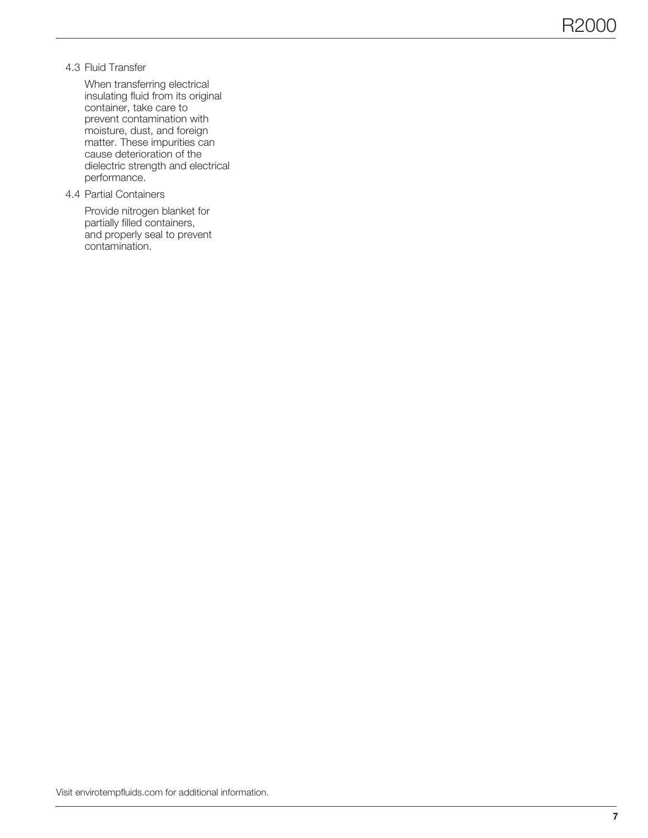4.3 Fluid Transfer

When transferring electrical insulating fluid from its original container, take care to prevent contamination with moisture, dust, and foreign matter. These impurities can cause deterioration of the dielectric strength and electrical performance.

4.4 Partial Containers

Provide nitrogen blanket for partially filled containers, and properly seal to prevent contamination.